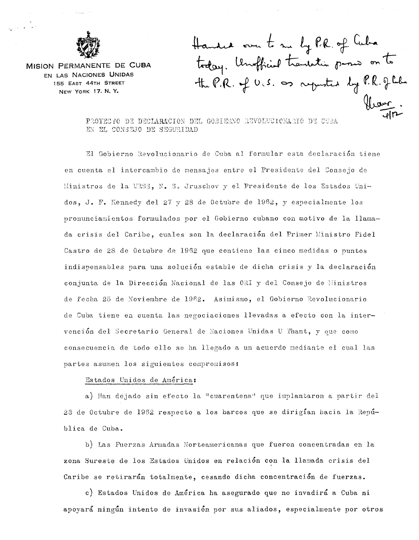

MISION PERMANENT£ DE **CUBA**  EN LAS NACIONES UNIDAS 155 EAST 44TH STREET NEW YORK 17. N. Y.

Handre over to me by P.R. of Cuba<br>today. Unofficial transation promo on to

PROYECTO DE DECLARACION DEL GOBIERNO REVOLUCIONARIO DE CUBA EN EL CONSEJO DE SEGURIDAD

El Gobierno Revolucionario de Cuba al formular esta declaración tiene en cuenta el intercambio de mensajes entre el Presidente del Consejo de Ministros de la URS3, N. S. Jruschov y el Presidente de los Estados Unidos, J. F. Kennedy del 27 y 28 de Octubre de 1962, y especialmente los pronunciaruientos formulados por el Gobierno cubano con motivo de la llamada crisis del Caribe, cuales son la declaración del Primer Ministro Fidel Castro de 28 de Octubre de 1962 que contiene las cinco medidas o puntos indispensables para una soluci6n estable de dicha crisis y la declaraci6n conjunta de la Dirección Nacional de las ORI y del Consejo de Ministros de fecha 25 de Noviembre de 1962. Asimismo, el Gobierno Revolucionario de tiene en cuenta las negociaciones llevadas a efecto con la intervención del Secretario General de Naciones Unidas U Thant, y que como consecuencia de todo ello se ha llegado a un acuerdo mediante el cual las partes asumen los siguientes compromisost

## Estados Unidos de America:

a) Han dejado sin efecto la "cuarentena" que implantaron a partir del 23 de Octubre de 1962 respecto a los barcos que se dirigian hacia la República de Cuba.

b) Las Fuerzas Armadas Norteamericanas que fueron concentradas en la zona Sureste de los Estados Unidos en relación con la llamada crisis del ' Caribe se retirarán totalmente, cesando dicha concentración de fuerzas.

c) Estados Unidos de América ha asegurado que no invadirá a Cuba ni apoyará ningún intento de invasión por sus aliados, especialmente por otros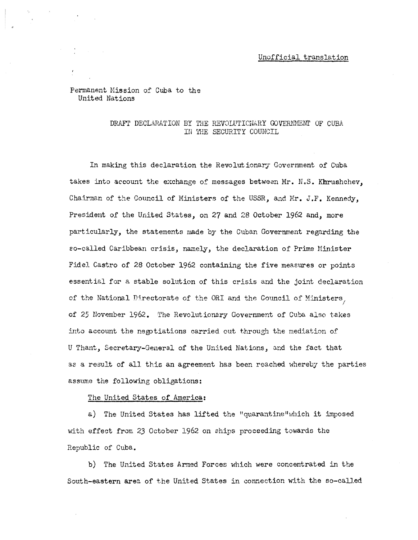### Unofficial translation

Permanent Mission of Cuba to the United Nations

### DRAFT DECLARATION BY THE REVOLUTICNARY GOVERNMENT OF CUBA IN THE SECURITY COUNCIL

In making this declaration the Revolutionary Government of Cuba takes into account the exchange of messages between Mr. N.S. Khrushchev, Chairman of the Council of Ministers of the USSR, and Mr. J.F. Kennedy, President of the United States, on 27 and 28 October 1962 and, more particularly, the statements made by the Cuban Government regarding the so-called Caribbean crisis, namely, the declaration of Prime Minister Fidel Castro of 28 October 1962 containing the five meaeures or points essential for a stable solution of this crisis and the joint declaration of the National Directorate of the ORI and the Council of Ministers, of 25 November 1962. The Revolutionary Government of Cuba also takes into account the negotiations carried out through the mediation of U Thant, Secretary-General of the United Nations, and the fact that as a result of all this an agreement has been reached whereby the parties assume the following obligations:

#### The United States of America:

a) The United States has lifted the "quarantine" which it imposed with effect from 23 October 1962 on ships proceeding towards the Republic of Cuba.

b) The United States Armed Forces which were concentrated in the South-eastern area of the United States in connection with the so-called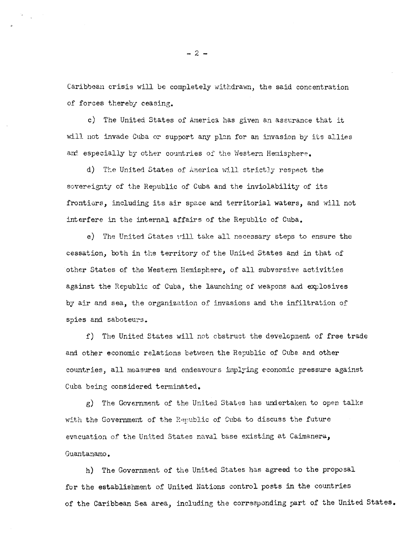Caribbean crisis will be completely withdrawn, the said concentration of forces thereby ceasing.

c) The United States of America has given an assurance that it will not invade Cuba or support any plan for an invasion by its allies and especially by other countries of the Western Hemisphere.

d) The United States of America will strictly respect the sovereignty of the Republic of Cuba and the inviolability of its frontiers, including its air space and territorial waters, and will not interfere in the internal affairs of the Republic of Cuba.

e) The United States vill take all necessary steps to ensure the cessation, both in the territory of the United States and in that of other States of the Western Hemisphere, of all subversive activities against the Republic of Cuba, the launching of weapons and explosives by air and sea, the organization of invasions and the infiltration of spies and saboteurs.

f) The United States will not cbstruct the development of free trade and other economic relations between the Republic of Cuba and other countries, all measures and endeavours implying economic pressure against Cuba being considered terminated.

g) The Government of the United States has undertaken to open talks with the Government of the Republic of Cuba to discuss the future evacuation of the United States naval base existing at Caimanera, Guantanamo.

h) The Government of the United States has agreed to the proposal for the establishment of United Nations control posts in the countries of the Caribbean Sea area, including the corresponding part of the United States.

 $-2-$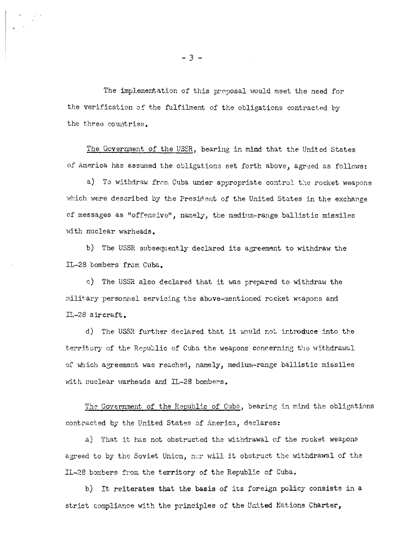The implementation of this proposal would meet the need for the verification of the fulfilment of the obligations contracted by the three countries.

The Government of the USSR, bearing in mind that the United States of America has assumed the obligations set forth above, agreed as follows:

a) To withdraw from Cuba under appropriate control the rocket weapons which were described by the President of the United States in the exchange of messages as "offensive", namely, the medium-range ballistic missiles with nuclear warheads.

b) The USSR subsequently declared its agreement to withdraw the IL-28 bombers from Cuba.

c) The USSR also declared that it was prepared to withdraw the military personnel servicing the above-mentioned rocket weapons and IL-28 aircraft.

d) The USSR further declared that it would not introduce into the territory of the Republic of Cuba the weapons concerning the withdrawal of which agreement was reached, namely, medium-range ballistic missiles with nuclear warheads and IL-28 bombers.

The Government of the Republic of Cuba, bearing in mind the obligations contracted by the United States of America, declares:

a) That it has not obstructed the withdrawal of the rocket weapons agreed to by the Soviet Union, nor will it obstruct the withdrawal of the IL-28 bombers from the territory of the Republic of Cuba.

b) It reiterates that the basis of its foreign policy consists in <sup>a</sup> strict compliance with the principles of the United Nations Charter,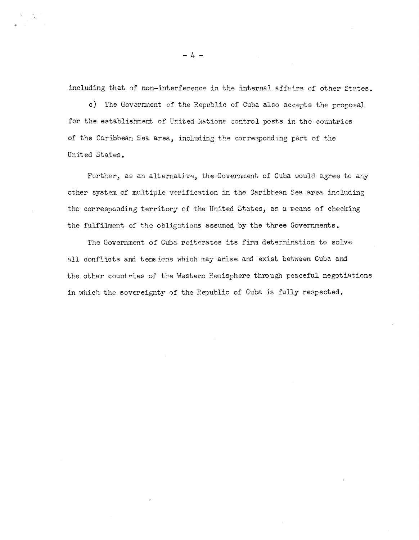including that of non-interference in the internal affairs of other States.

c) The Government of the Republic of Cuba also accepts the proposal for the establishment of United Nations control posts in the countries of the Caribbean Sea area, including the corresponding part of the United States.

Further, as an alternative, the Government of Cuba would agree to any other system of multiple verification in the Caribbean Sea area including the corresponding territory of the United States, as a means of checking the fulfilment of the obligations assumed by the three Governments.

The Government of Cuba reiterates its firm determination to solve all conflicts and tensions which may arise and exist between Cuba and the other countries of the Western Hemisphere through peaceful negotiations in which the sovereignty of the Republic of Cuba is fully respected.